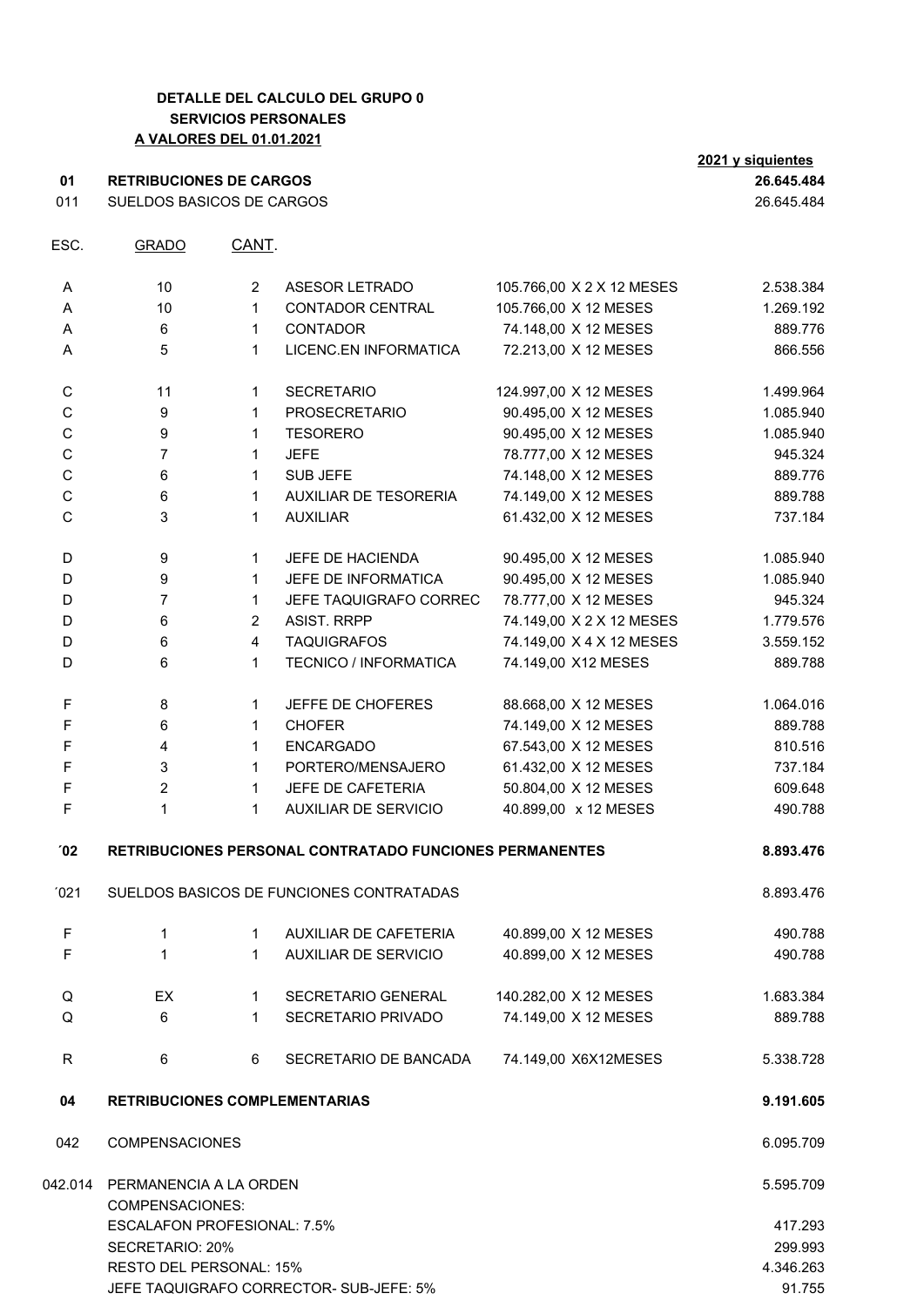## **DETALLE DEL CALCULO DEL GRUPO 0 SERVICIOS PERSONALES A VALORES DEL 01.01.2021**

|                | <u>A VALORLO DEL 01.01.2021</u>      |                |                                                         |                           | 2021 y siquientes |
|----------------|--------------------------------------|----------------|---------------------------------------------------------|---------------------------|-------------------|
| 01             | <b>RETRIBUCIONES DE CARGOS</b>       | 26.645.484     |                                                         |                           |                   |
| 011            | SUELDOS BASICOS DE CARGOS            |                |                                                         |                           | 26.645.484        |
| ESC.           | <b>GRADO</b>                         | CANT.          |                                                         |                           |                   |
| A              | 10                                   | $\overline{2}$ | ASESOR LETRADO                                          | 105.766,00 X 2 X 12 MESES | 2.538.384         |
| Α              | 10                                   | $\mathbf{1}$   | <b>CONTADOR CENTRAL</b>                                 | 105.766,00 X 12 MESES     | 1.269.192         |
| Α              | 6                                    | $\mathbf{1}$   | CONTADOR                                                | 74.148,00 X 12 MESES      | 889.776           |
| Α              | 5                                    | $\mathbf{1}$   | LICENC.EN INFORMATICA                                   | 72.213,00 X 12 MESES      | 866.556           |
| C              | 11                                   | $\mathbf{1}$   | <b>SECRETARIO</b>                                       | 124.997,00 X 12 MESES     | 1.499.964         |
| C              | 9                                    | $\mathbf{1}$   | <b>PROSECRETARIO</b>                                    | 90.495,00 X 12 MESES      | 1.085.940         |
| $\mathsf C$    | 9                                    | $\mathbf{1}$   | <b>TESORERO</b>                                         | 90.495,00 X 12 MESES      | 1.085.940         |
| $\mathsf C$    | $\overline{7}$                       | $\mathbf{1}$   | <b>JEFE</b>                                             | 78.777,00 X 12 MESES      | 945.324           |
| $\mathsf C$    | 6                                    | $\mathbf{1}$   | SUB JEFE                                                | 74.148,00 X 12 MESES      | 889.776           |
| $\mathsf C$    | 6                                    | $\mathbf{1}$   | AUXILIAR DE TESORERIA                                   | 74.149,00 X 12 MESES      | 889.788           |
| $\mathsf C$    | 3                                    | $\mathbf{1}$   | <b>AUXILIAR</b>                                         | 61.432,00 X 12 MESES      | 737.184           |
| D              | 9                                    | $\mathbf{1}$   | JEFE DE HACIENDA                                        | 90.495,00 X 12 MESES      | 1.085.940         |
| D              | 9                                    | $\mathbf{1}$   | JEFE DE INFORMATICA                                     | 90.495,00 X 12 MESES      | 1.085.940         |
| D              | $\overline{7}$                       | $\mathbf{1}$   | JEFE TAQUIGRAFO CORREC                                  | 78.777,00 X 12 MESES      | 945.324           |
| D              | 6                                    | $\overline{2}$ | <b>ASIST. RRPP</b>                                      | 74.149,00 X 2 X 12 MESES  | 1.779.576         |
| D              | 6                                    | $\overline{4}$ | <b>TAQUIGRAFOS</b>                                      | 74.149,00 X 4 X 12 MESES  | 3.559.152         |
| D              | 6                                    | $\mathbf{1}$   | <b>TECNICO / INFORMATICA</b>                            | 74.149,00 X12 MESES       | 889.788           |
| F              | 8                                    | $\mathbf{1}$   | JEFFE DE CHOFERES                                       | 88.668,00 X 12 MESES      | 1.064.016         |
| $\mathsf F$    | 6                                    | $\mathbf{1}$   | <b>CHOFER</b>                                           | 74.149,00 X 12 MESES      | 889.788           |
| $\mathsf F$    | 4                                    | $\mathbf{1}$   | <b>ENCARGADO</b>                                        | 67.543,00 X 12 MESES      | 810.516           |
| $\mathsf F$    | 3                                    | $\mathbf{1}$   | PORTERO/MENSAJERO                                       | 61.432,00 X 12 MESES      | 737.184           |
| F              | $\overline{c}$                       | $\mathbf{1}$   | JEFE DE CAFETERIA                                       | 50.804,00 X 12 MESES      | 609.648           |
| F              | 1                                    | $\mathbf{1}$   | <b>AUXILIAR DE SERVICIO</b>                             | 40.899,00 x 12 MESES      | 490.788           |
| $^{\prime}$ 02 |                                      |                | RETRIBUCIONES PERSONAL CONTRATADO FUNCIONES PERMANENTES |                           | 8.893.476         |
| '021           |                                      |                | SUELDOS BASICOS DE FUNCIONES CONTRATADAS                |                           | 8.893.476         |
| F              | $\mathbf{1}$                         | 1              | AUXILIAR DE CAFETERIA                                   | 40.899,00 X 12 MESES      | 490.788           |
| $\mathsf F$    | $\mathbf{1}$                         | $\mathbf{1}$   | <b>AUXILIAR DE SERVICIO</b>                             | 40.899,00 X 12 MESES      | 490.788           |
| Q              | EX                                   | $\mathbf{1}$   | SECRETARIO GENERAL                                      | 140.282,00 X 12 MESES     | 1.683.384         |
| Q              | 6                                    | $\mathbf{1}$   | SECRETARIO PRIVADO                                      | 74.149,00 X 12 MESES      | 889.788           |
| $\mathsf R$    | 6                                    | 6              | SECRETARIO DE BANCADA                                   | 74.149,00 X6X12MESES      | 5.338.728         |
| 04             | <b>RETRIBUCIONES COMPLEMENTARIAS</b> |                |                                                         |                           | 9.191.605         |
|                |                                      |                |                                                         |                           |                   |

042 COMPENSACIONES 6.095.709 042.014 PERMANENCIA A LA ORDEN 5.595.709 COMPENSACIONES: ESCALAFON PROFESIONAL: 7.5% 417.293 SECRETARIO: 20% 299.993 RESTO DEL PERSONAL: 15% 4.346.263 JEFE TAQUIGRAFO CORRECTOR- SUB-JEFE: 5% 91.755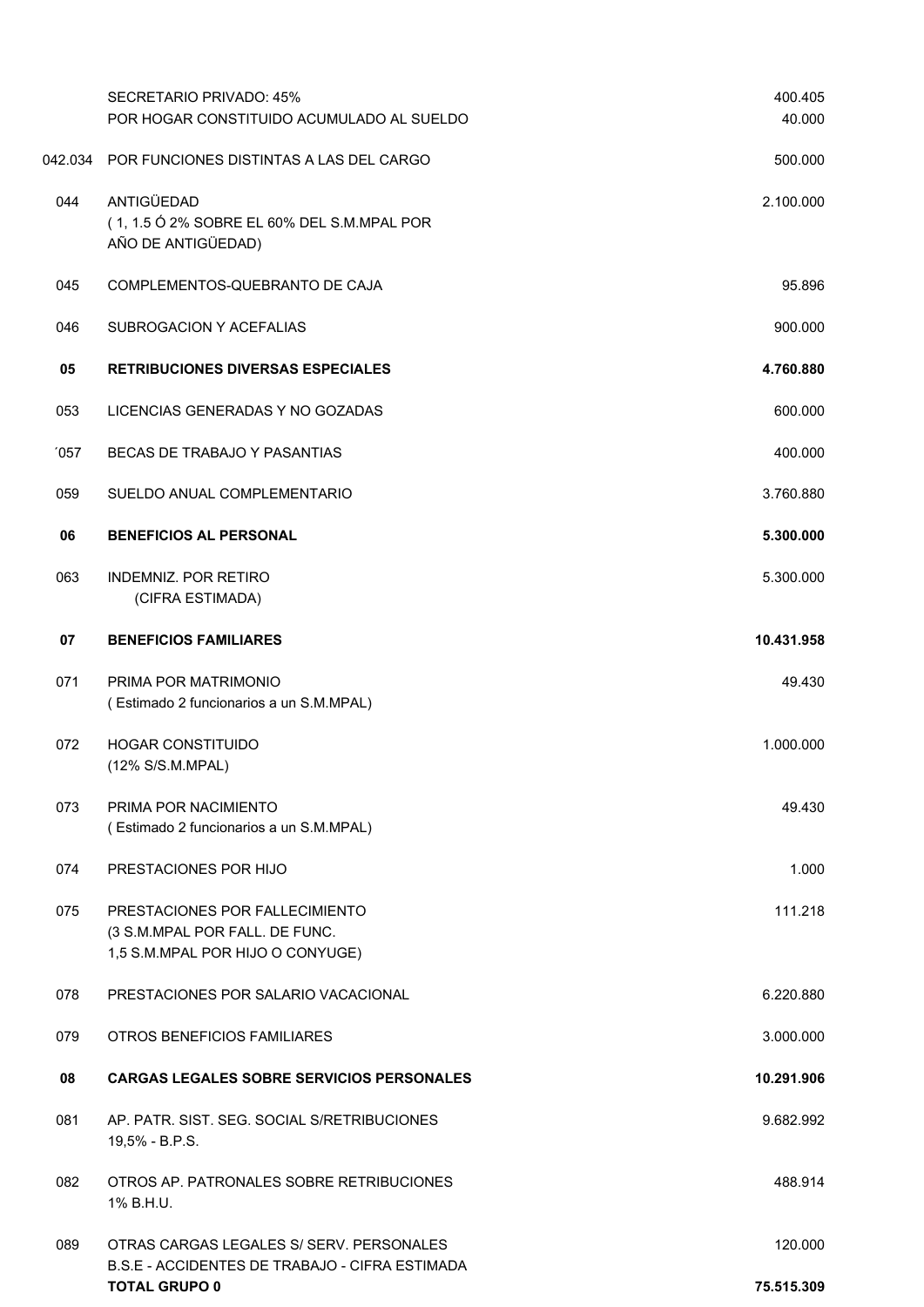|     | <b>SECRETARIO PRIVADO: 45%</b><br>POR HOGAR CONSTITUIDO ACUMULADO AL SUELDO                          | 400.405<br>40.000 |
|-----|------------------------------------------------------------------------------------------------------|-------------------|
|     | 042.034 POR FUNCIONES DISTINTAS A LAS DEL CARGO                                                      | 500.000           |
| 044 | ANTIGÜEDAD<br>(1, 1.5 Ó 2% SOBRE EL 60% DEL S.M.MPAL POR<br>AÑO DE ANTIGÜEDAD)                       | 2.100.000         |
| 045 | COMPLEMENTOS-QUEBRANTO DE CAJA                                                                       | 95.896            |
| 046 | SUBROGACION Y ACEFALIAS                                                                              | 900.000           |
| 05  | <b>RETRIBUCIONES DIVERSAS ESPECIALES</b>                                                             | 4.760.880         |
| 053 | LICENCIAS GENERADAS Y NO GOZADAS                                                                     | 600.000           |
| 057 | BECAS DE TRABAJO Y PASANTIAS                                                                         | 400.000           |
| 059 | SUELDO ANUAL COMPLEMENTARIO                                                                          | 3.760.880         |
| 06  | <b>BENEFICIOS AL PERSONAL</b>                                                                        | 5.300.000         |
| 063 | <b>INDEMNIZ. POR RETIRO</b><br>(CIFRA ESTIMADA)                                                      | 5.300.000         |
| 07  | <b>BENEFICIOS FAMILIARES</b>                                                                         | 10.431.958        |
| 071 | PRIMA POR MATRIMONIO<br>(Estimado 2 funcionarios a un S.M.MPAL)                                      | 49.430            |
| 072 | <b>HOGAR CONSTITUIDO</b><br>(12% S/S.M.MPAL)                                                         | 1.000.000         |
| 073 | PRIMA POR NACIMIENTO<br>(Estimado 2 funcionarios a un S.M.MPAL)                                      | 49.430            |
| 074 | PRESTACIONES POR HIJO                                                                                | 1.000             |
| 075 | PRESTACIONES POR FALLECIMIENTO<br>(3 S.M.MPAL POR FALL. DE FUNC.<br>1,5 S.M.MPAL POR HIJO O CONYUGE) | 111.218           |
| 078 | PRESTACIONES POR SALARIO VACACIONAL                                                                  | 6.220.880         |
| 079 | OTROS BENEFICIOS FAMILIARES                                                                          | 3.000.000         |
| 08  | <b>CARGAS LEGALES SOBRE SERVICIOS PERSONALES</b>                                                     | 10.291.906        |
| 081 | AP. PATR. SIST. SEG. SOCIAL S/RETRIBUCIONES<br>19,5% - B.P.S.                                        | 9.682.992         |
| 082 | OTROS AP. PATRONALES SOBRE RETRIBUCIONES<br>1% B.H.U.                                                | 488.914           |
| 089 | OTRAS CARGAS LEGALES S/ SERV. PERSONALES                                                             | 120.000           |
|     | B.S.E - ACCIDENTES DE TRABAJO - CIFRA ESTIMADA<br><b>TOTAL GRUPO 0</b>                               | 75.515.309        |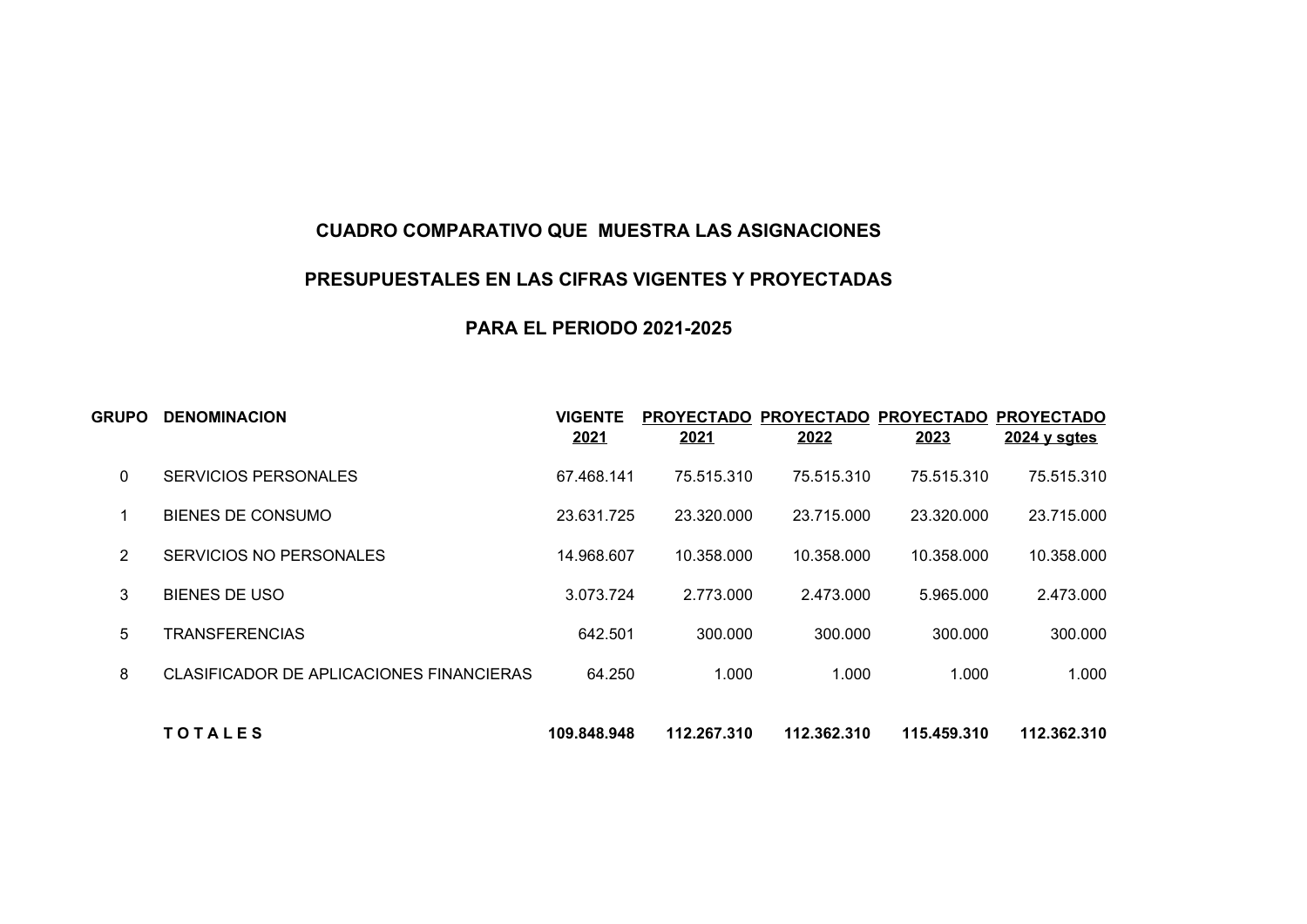## **CUADRO COMPARATIVO QUE MUESTRA LAS ASIGNACIONES**

## **PRESUPUESTALES EN LAS CIFRAS VIGENTES Y PROYECTADAS**

## **PARA EL PERIODO 2021-2025**

| GRUPO | <b>DENOMINACION</b>                      | <b>VIGENTE</b><br>2021 | <b>PROYECTADO</b><br>2021 | <b>PROYECTADO</b><br>2022 | <b>PROYECTADO</b><br>2023 | <b>PROYECTADO</b><br>$2024$ y sgtes |
|-------|------------------------------------------|------------------------|---------------------------|---------------------------|---------------------------|-------------------------------------|
| 0     | SERVICIOS PERSONALES                     | 67.468.141             | 75.515.310                | 75.515.310                | 75.515.310                | 75.515.310                          |
|       | <b>BIENES DE CONSUMO</b>                 | 23.631.725             | 23.320.000                | 23.715.000                | 23.320.000                | 23.715.000                          |
| 2     | SERVICIOS NO PERSONALES                  | 14.968.607             | 10.358.000                | 10.358.000                | 10.358.000                | 10.358.000                          |
| 3     | <b>BIENES DE USO</b>                     | 3.073.724              | 2.773.000                 | 2.473.000                 | 5.965.000                 | 2.473.000                           |
| 5     | <b>TRANSFERENCIAS</b>                    | 642.501                | 300.000                   | 300.000                   | 300.000                   | 300.000                             |
| 8     | CLASIFICADOR DE APLICACIONES FINANCIERAS | 64.250                 | 1.000                     | 1.000                     | 1.000                     | 1.000                               |
|       | <b>TOTALES</b>                           | 109.848.948            | 112.267.310               | 112.362.310               | 115.459.310               | 112.362.310                         |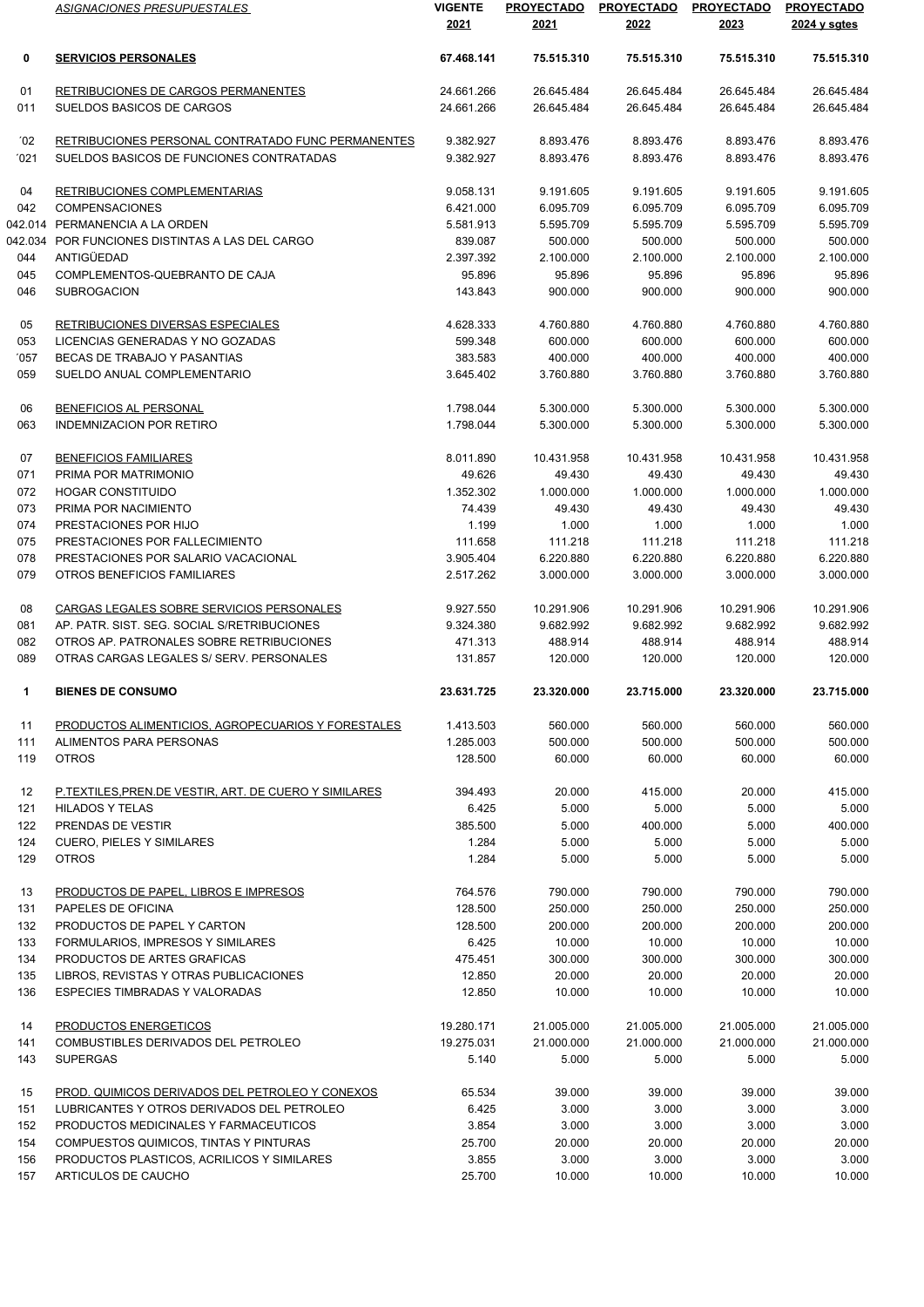|               | ASIGNACIONES PRESUPUESTALES                           | <b>VIGENTE</b><br>2021 | <b>PROYECTADO</b><br>2021 | <b>PROYECTADO</b><br>2022 | <b>PROYECTADO</b><br>2023 | <b>PROYECTADO</b><br>2024 y sgtes |
|---------------|-------------------------------------------------------|------------------------|---------------------------|---------------------------|---------------------------|-----------------------------------|
| 0             | <b>SERVICIOS PERSONALES</b>                           | 67.468.141             | 75.515.310                | 75.515.310                | 75.515.310                | 75.515.310                        |
| 01            | RETRIBUCIONES DE CARGOS PERMANENTES                   | 24.661.266             | 26.645.484                | 26.645.484                | 26.645.484                | 26.645.484                        |
| 011           | SUELDOS BASICOS DE CARGOS                             | 24.661.266             | 26.645.484                | 26.645.484                | 26.645.484                | 26.645.484                        |
| $^{\prime}02$ | RETRIBUCIONES PERSONAL CONTRATADO FUNC PERMANENTES    | 9.382.927              | 8.893.476                 | 8.893.476                 | 8.893.476                 | 8.893.476                         |
| '021          | SUELDOS BASICOS DE FUNCIONES CONTRATADAS              | 9.382.927              | 8.893.476                 | 8.893.476                 | 8.893.476                 | 8.893.476                         |
| 04            | RETRIBUCIONES COMPLEMENTARIAS                         | 9.058.131              | 9.191.605                 | 9.191.605                 | 9.191.605                 | 9.191.605                         |
| 042           | <b>COMPENSACIONES</b>                                 | 6.421.000              | 6.095.709                 | 6.095.709                 | 6.095.709                 | 6.095.709                         |
|               | 042.014 PERMANENCIA A LA ORDEN                        | 5.581.913              | 5.595.709                 | 5.595.709                 | 5.595.709                 | 5.595.709                         |
|               | 042.034 POR FUNCIONES DISTINTAS A LAS DEL CARGO       | 839.087                | 500.000                   | 500.000                   | 500.000                   | 500.000                           |
| 044           | ANTIGÜEDAD                                            | 2.397.392              | 2.100.000                 | 2.100.000                 | 2.100.000                 | 2.100.000                         |
| 045           | COMPLEMENTOS-QUEBRANTO DE CAJA                        | 95.896                 | 95.896                    | 95.896                    | 95.896                    | 95.896                            |
| 046           | <b>SUBROGACION</b>                                    | 143.843                | 900.000                   | 900.000                   | 900.000                   | 900.000                           |
| 05            | RETRIBUCIONES DIVERSAS ESPECIALES                     | 4.628.333              | 4.760.880                 | 4.760.880                 | 4.760.880                 | 4.760.880                         |
| 053           | LICENCIAS GENERADAS Y NO GOZADAS                      | 599.348                | 600.000                   | 600.000                   | 600.000                   | 600.000                           |
| '057          | BECAS DE TRABAJO Y PASANTIAS                          | 383.583                | 400.000                   | 400.000                   | 400.000                   | 400.000                           |
| 059           | SUELDO ANUAL COMPLEMENTARIO                           | 3.645.402              | 3.760.880                 | 3.760.880                 | 3.760.880                 | 3.760.880                         |
| 06            | BENEFICIOS AL PERSONAL                                | 1.798.044              | 5.300.000                 | 5.300.000                 | 5.300.000                 | 5.300.000                         |
| 063           | <b>INDEMNIZACION POR RETIRO</b>                       | 1.798.044              | 5.300.000                 | 5.300.000                 | 5.300.000                 | 5.300.000                         |
| 07            | <b>BENEFICIOS FAMILIARES</b>                          | 8.011.890              | 10.431.958                | 10.431.958                | 10.431.958                | 10.431.958                        |
| 071           | PRIMA POR MATRIMONIO                                  | 49.626                 | 49.430                    | 49.430                    | 49.430                    | 49.430                            |
| 072           | <b>HOGAR CONSTITUIDO</b>                              | 1.352.302              | 1.000.000                 | 1.000.000                 | 1.000.000                 | 1.000.000                         |
| 073           | PRIMA POR NACIMIENTO                                  | 74.439                 | 49.430                    | 49.430                    | 49.430                    | 49.430                            |
| 074           | PRESTACIONES POR HIJO                                 | 1.199                  | 1.000                     | 1.000                     | 1.000                     | 1.000                             |
| 075           | PRESTACIONES POR FALLECIMIENTO                        | 111.658                | 111.218                   | 111.218                   | 111.218                   | 111.218                           |
| 078           | PRESTACIONES POR SALARIO VACACIONAL                   | 3.905.404              | 6.220.880                 | 6.220.880                 | 6.220.880                 | 6.220.880                         |
| 079           | OTROS BENEFICIOS FAMILIARES                           | 2.517.262              | 3.000.000                 | 3.000.000                 | 3.000.000                 | 3.000.000                         |
| 08            | CARGAS LEGALES SOBRE SERVICIOS PERSONALES             | 9.927.550              | 10.291.906                | 10.291.906                | 10.291.906                | 10.291.906                        |
| 081           | AP. PATR. SIST. SEG. SOCIAL S/RETRIBUCIONES           | 9.324.380              | 9.682.992                 | 9.682.992                 | 9.682.992                 | 9.682.992                         |
| 082           | OTROS AP. PATRONALES SOBRE RETRIBUCIONES              | 471.313                | 488.914                   | 488.914                   | 488.914                   | 488.914                           |
| 089           | OTRAS CARGAS LEGALES S/ SERV. PERSONALES              | 131.857                | 120.000                   | 120.000                   | 120.000                   | 120.000                           |
| 1             | <b>BIENES DE CONSUMO</b>                              | 23.631.725             | 23.320.000                | 23.715.000                | 23.320.000                | 23.715.000                        |
| 11            | PRODUCTOS ALIMENTICIOS, AGROPECUARIOS Y FORESTALES    | 1.413.503              | 560.000                   | 560.000                   | 560.000                   | 560.000                           |
| 111           | ALIMENTOS PARA PERSONAS                               | 1.285.003              | 500.000                   | 500.000                   | 500.000                   | 500.000                           |
| 119           | <b>OTROS</b>                                          | 128,500                | 60.000                    | 60.000                    | 60.000                    | 60.000                            |
| 12            | P.TEXTILES, PREN.DE VESTIR, ART. DE CUERO Y SIMILARES | 394.493                | 20.000                    | 415.000                   | 20.000                    | 415.000                           |
| 121           | <b>HILADOS Y TELAS</b>                                | 6.425                  | 5.000                     | 5.000                     | 5.000                     | 5.000                             |
| 122           | PRENDAS DE VESTIR                                     | 385.500                | 5.000                     | 400.000                   | 5.000                     | 400.000                           |
| 124           | <b>CUERO, PIELES Y SIMILARES</b>                      | 1.284                  | 5.000                     | 5.000                     | 5.000                     | 5.000                             |
| 129           | <b>OTROS</b>                                          | 1.284                  | 5.000                     | 5.000                     | 5.000                     | 5.000                             |
| 13            | PRODUCTOS DE PAPEL. LIBROS E IMPRESOS                 | 764.576                | 790.000                   | 790.000                   | 790.000                   | 790.000                           |
| 131           | PAPELES DE OFICINA                                    | 128.500                | 250.000                   | 250.000                   | 250.000                   | 250.000                           |
| 132           | PRODUCTOS DE PAPEL Y CARTON                           | 128.500                | 200.000                   | 200.000                   | 200.000                   | 200.000                           |
| 133           | FORMULARIOS, IMPRESOS Y SIMILARES                     | 6.425                  | 10.000                    | 10.000                    | 10.000                    | 10.000                            |
| 134           | PRODUCTOS DE ARTES GRAFICAS                           | 475.451                | 300.000                   | 300.000                   | 300.000                   | 300.000                           |
| 135           | LIBROS, REVISTAS Y OTRAS PUBLICACIONES                | 12.850                 | 20.000                    | 20.000                    | 20.000                    | 20.000                            |
| 136           | ESPECIES TIMBRADAS Y VALORADAS                        | 12.850                 | 10.000                    | 10.000                    | 10.000                    | 10.000                            |
| 14            | PRODUCTOS ENERGETICOS                                 | 19.280.171             | 21.005.000                | 21.005.000                | 21.005.000                | 21.005.000                        |
| 141           | COMBUSTIBLES DERIVADOS DEL PETROLEO                   | 19.275.031             | 21.000.000                | 21.000.000                | 21.000.000                | 21.000.000                        |
| 143           | <b>SUPERGAS</b>                                       | 5.140                  | 5.000                     | 5.000                     | 5.000                     | 5.000                             |
| 15            | PROD. QUIMICOS DERIVADOS DEL PETROLEO Y CONEXOS       | 65.534                 | 39.000                    | 39.000                    | 39.000                    | 39.000                            |
| 151           | LUBRICANTES Y OTROS DERIVADOS DEL PETROLEO            | 6.425                  | 3.000                     | 3.000                     | 3.000                     | 3.000                             |
| 152           | PRODUCTOS MEDICINALES Y FARMACEUTICOS                 | 3.854                  | 3.000                     | 3.000                     | 3.000                     | 3.000                             |
| 154           | COMPUESTOS QUIMICOS, TINTAS Y PINTURAS                | 25.700                 | 20.000                    | 20.000                    | 20.000                    | 20.000                            |
| 156           | PRODUCTOS PLASTICOS, ACRILICOS Y SIMILARES            | 3.855                  | 3.000                     | 3.000                     | 3.000                     | 3.000                             |
| 157           | ARTICULOS DE CAUCHO                                   | 25.700                 | 10.000                    | 10.000                    | 10.000                    | 10.000                            |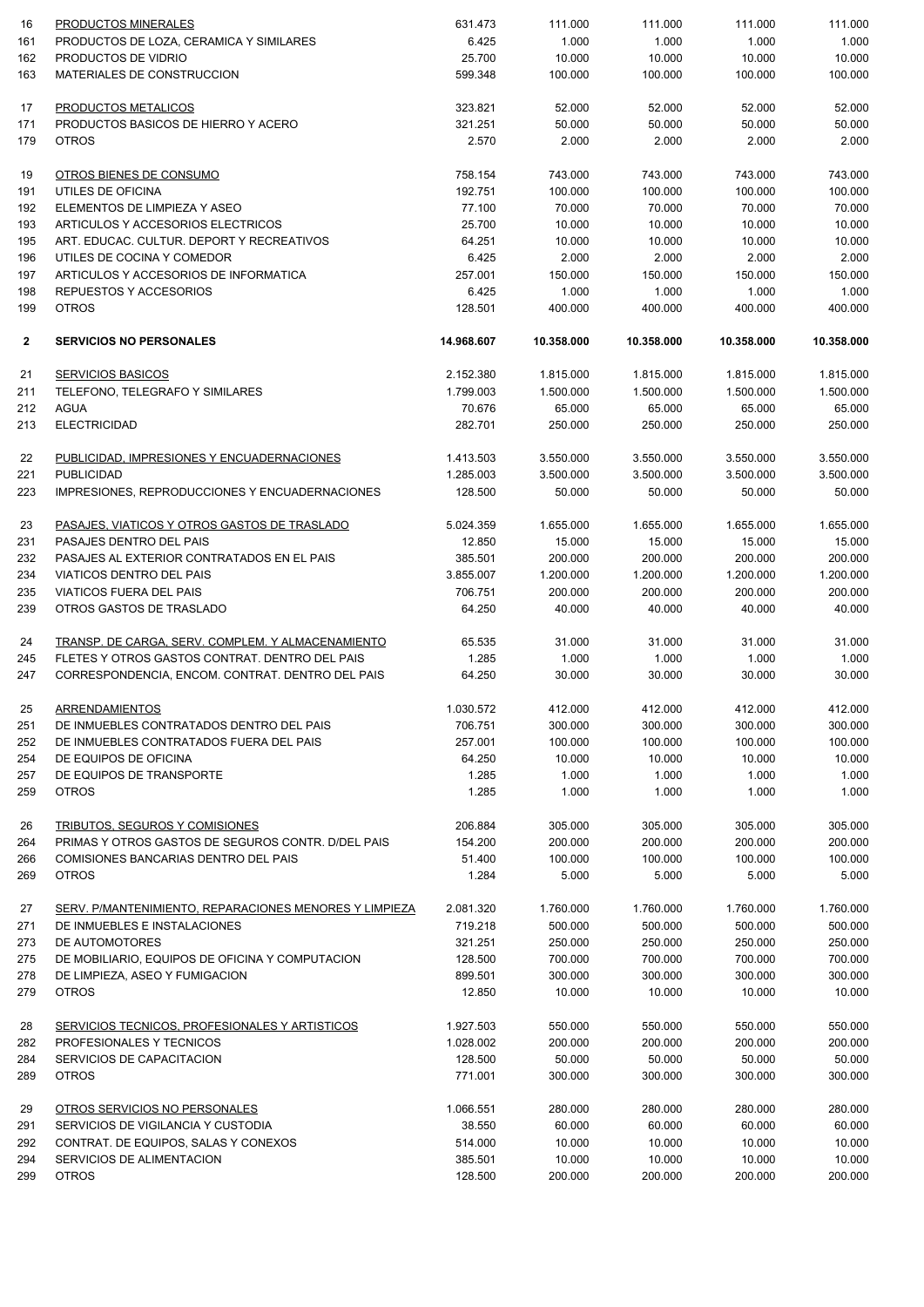| 16           | PRODUCTOS MINERALES                                    | 631.473    | 111.000    | 111.000    | 111.000    | 111.000    |
|--------------|--------------------------------------------------------|------------|------------|------------|------------|------------|
| 161          | PRODUCTOS DE LOZA, CERAMICA Y SIMILARES                | 6.425      | 1.000      | 1.000      | 1.000      | 1.000      |
| 162          | PRODUCTOS DE VIDRIO                                    | 25.700     | 10.000     | 10.000     | 10.000     | 10.000     |
| 163          | MATERIALES DE CONSTRUCCION                             | 599.348    | 100.000    | 100.000    | 100.000    | 100.000    |
| 17           | PRODUCTOS METALICOS                                    | 323.821    | 52.000     | 52.000     | 52.000     | 52.000     |
| 171          | PRODUCTOS BASICOS DE HIERRO Y ACERO                    | 321.251    | 50.000     | 50.000     | 50.000     | 50.000     |
| 179          | <b>OTROS</b>                                           | 2.570      | 2.000      | 2.000      | 2.000      | 2.000      |
| 19           | OTROS BIENES DE CONSUMO                                | 758.154    | 743.000    | 743.000    | 743.000    | 743.000    |
| 191          | UTILES DE OFICINA                                      | 192.751    | 100.000    | 100.000    | 100.000    | 100.000    |
| 192          | ELEMENTOS DE LIMPIEZA Y ASEO                           | 77.100     | 70.000     | 70.000     | 70.000     | 70.000     |
| 193          | ARTICULOS Y ACCESORIOS ELECTRICOS                      | 25.700     | 10.000     | 10.000     | 10.000     | 10.000     |
| 195          | ART. EDUCAC. CULTUR. DEPORT Y RECREATIVOS              | 64.251     | 10.000     | 10.000     | 10.000     | 10.000     |
| 196          | UTILES DE COCINA Y COMEDOR                             | 6.425      | 2.000      | 2.000      | 2.000      | 2.000      |
| 197          | ARTICULOS Y ACCESORIOS DE INFORMATICA                  | 257.001    | 150.000    | 150.000    | 150.000    | 150.000    |
| 198          | REPUESTOS Y ACCESORIOS                                 | 6.425      | 1.000      | 1.000      | 1.000      | 1.000      |
| 199          | <b>OTROS</b>                                           | 128.501    | 400.000    | 400.000    | 400.000    | 400.000    |
| $\mathbf{2}$ | <b>SERVICIOS NO PERSONALES</b>                         | 14.968.607 | 10.358.000 | 10.358.000 | 10.358.000 | 10.358.000 |
| 21           | <b>SERVICIOS BASICOS</b>                               | 2.152.380  | 1.815.000  | 1.815.000  | 1.815.000  | 1.815.000  |
| 211          | TELEFONO, TELEGRAFO Y SIMILARES                        | 1.799.003  | 1.500.000  | 1.500.000  | 1.500.000  | 1.500.000  |
| 212          | AGUA                                                   | 70.676     | 65.000     | 65.000     | 65.000     | 65.000     |
| 213          | <b>ELECTRICIDAD</b>                                    | 282.701    | 250.000    | 250.000    | 250.000    | 250.000    |
| 22           | PUBLICIDAD, IMPRESIONES Y ENCUADERNACIONES             | 1.413.503  | 3.550.000  | 3.550.000  | 3.550.000  | 3.550.000  |
| 221          | <b>PUBLICIDAD</b>                                      | 1.285.003  | 3.500.000  | 3.500.000  | 3.500.000  | 3.500.000  |
| 223          | IMPRESIONES, REPRODUCCIONES Y ENCUADERNACIONES         | 128.500    | 50.000     | 50.000     | 50.000     | 50.000     |
| 23           | PASAJES, VIATICOS Y OTROS GASTOS DE TRASLADO           | 5.024.359  | 1.655.000  | 1.655.000  | 1.655.000  | 1.655.000  |
| 231          | PASAJES DENTRO DEL PAIS                                | 12.850     | 15.000     | 15.000     | 15.000     | 15.000     |
| 232          | PASAJES AL EXTERIOR CONTRATADOS EN EL PAIS             | 385.501    | 200.000    | 200.000    | 200.000    | 200.000    |
| 234          | VIATICOS DENTRO DEL PAIS                               | 3.855.007  | 1.200.000  | 1.200.000  | 1.200.000  | 1.200.000  |
| 235          | <b>VIATICOS FUERA DEL PAIS</b>                         | 706.751    | 200.000    | 200.000    | 200.000    | 200.000    |
| 239          | OTROS GASTOS DE TRASLADO                               | 64.250     | 40.000     | 40.000     | 40.000     | 40.000     |
| 24           | TRANSP. DE CARGA, SERV. COMPLEM. Y ALMACENAMIENTO      | 65.535     | 31.000     | 31.000     | 31.000     | 31.000     |
| 245          | FLETES Y OTROS GASTOS CONTRAT. DENTRO DEL PAIS         | 1.285      | 1.000      | 1.000      | 1.000      | 1.000      |
| 247          | CORRESPONDENCIA, ENCOM. CONTRAT. DENTRO DEL PAIS       | 64.250     | 30.000     | 30.000     | 30.000     | 30.000     |
| 25           | ARRENDAMIENTOS                                         | 1.030.572  | 412.000    | 412.000    | 412.000    | 412.000    |
| 251          | DE INMUEBLES CONTRATADOS DENTRO DEL PAIS               | 706.751    | 300.000    | 300.000    | 300.000    | 300.000    |
| 252          | DE INMUEBLES CONTRATADOS FUERA DEL PAIS                | 257.001    | 100.000    | 100.000    | 100.000    | 100.000    |
| 254          | DE EQUIPOS DE OFICINA                                  | 64.250     | 10.000     | 10.000     | 10.000     | 10.000     |
| 257          | DE EQUIPOS DE TRANSPORTE                               | 1.285      | 1.000      | 1.000      | 1.000      | 1.000      |
| 259          | <b>OTROS</b>                                           | 1.285      | 1.000      | 1.000      | 1.000      | 1.000      |
| 26           | TRIBUTOS, SEGUROS Y COMISIONES                         | 206.884    | 305.000    | 305.000    | 305.000    | 305.000    |
| 264          | PRIMAS Y OTROS GASTOS DE SEGUROS CONTR. D/DEL PAIS     | 154.200    | 200.000    | 200.000    | 200.000    | 200.000    |
| 266          | <b>COMISIONES BANCARIAS DENTRO DEL PAIS</b>            | 51.400     | 100.000    | 100.000    | 100.000    | 100.000    |
| 269          | <b>OTROS</b>                                           | 1.284      | 5.000      | 5.000      | 5.000      | 5.000      |
| 27           | SERV. P/MANTENIMIENTO, REPARACIONES MENORES Y LIMPIEZA | 2.081.320  | 1.760.000  | 1.760.000  | 1.760.000  | 1.760.000  |
| 271          | DE INMUEBLES E INSTALACIONES                           | 719.218    | 500.000    | 500.000    | 500.000    | 500.000    |
| 273          | DE AUTOMOTORES                                         | 321.251    | 250.000    | 250.000    | 250.000    | 250.000    |
| 275          | DE MOBILIARIO, EQUIPOS DE OFICINA Y COMPUTACION        | 128.500    | 700.000    | 700.000    | 700.000    | 700.000    |
| 278          | DE LIMPIEZA, ASEO Y FUMIGACION                         | 899.501    | 300.000    | 300.000    | 300.000    | 300.000    |
| 279          | <b>OTROS</b>                                           | 12.850     | 10.000     | 10.000     | 10.000     | 10.000     |
| 28           | <b>SERVICIOS TECNICOS, PROFESIONALES Y ARTISTICOS</b>  | 1.927.503  | 550.000    | 550.000    | 550.000    | 550.000    |
| 282          | PROFESIONALES Y TECNICOS                               | 1.028.002  | 200.000    | 200.000    | 200.000    | 200.000    |
| 284          | SERVICIOS DE CAPACITACION                              | 128.500    | 50.000     | 50.000     | 50.000     | 50.000     |
| 289          | <b>OTROS</b>                                           | 771.001    | 300.000    | 300.000    | 300.000    | 300.000    |
| 29           | OTROS SERVICIOS NO PERSONALES                          | 1.066.551  | 280.000    | 280.000    | 280.000    | 280.000    |
| 291          | SERVICIOS DE VIGILANCIA Y CUSTODIA                     | 38.550     | 60.000     | 60.000     | 60.000     | 60.000     |
| 292          | CONTRAT. DE EQUIPOS, SALAS Y CONEXOS                   | 514.000    | 10.000     | 10.000     | 10.000     | 10.000     |
| 294          | SERVICIOS DE ALIMENTACION                              | 385.501    | 10.000     | 10.000     | 10.000     | 10.000     |
| 299          | <b>OTROS</b>                                           | 128.500    | 200.000    | 200.000    | 200.000    | 200.000    |